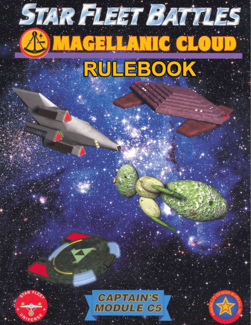# **STAR FLEET BATTLES AS MAGELLANIC CLO** RULEBOOK.



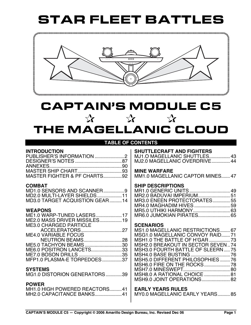

# CAPTAIN'S MODULE C5  $\mathbf{\hat{x}}$   $\mathbf{\hat{x}}$ THE MAGELLANIC CLOUD

#### **TABLE OF CONTENTS**

#### **INTRODUCTION**

| MASTER FIGHTER & PF CHARTS92 |  |
|------------------------------|--|

#### **COMBAT**

| MD2.0 MULTI-LAYER SHIELDS11    |  |
|--------------------------------|--|
| MD3.0 TARGET ACQUISTION GEAR14 |  |

#### **WEAPONS**

| ME1.0 WARP-TUNED LASERS17     |  |
|-------------------------------|--|
| ME2.0 MASS DRIVER MISSILES19  |  |
| <b>ME3.0 CHARGED PARTICLE</b> |  |
|                               |  |
| <b>ME4.0 VARIABLE FOCUS</b>   |  |
| <b>NEUTRON BEAMS28</b>        |  |
| ME5.0 TACHYON BEAMS30         |  |
| ME6.0 POSITRON LANCETS33      |  |
|                               |  |
| MFP1.0 PLASMA-E TORPEDOES37   |  |

## **SYSTEMS**

| MG1.0 DISTORION GENERATORS39 |  |
|------------------------------|--|
|------------------------------|--|

#### **POWER**

| MH <sub>1.0</sub> HIGH POWERED REACTORS41 |  |
|-------------------------------------------|--|
| MH2.0 CAPACITANCE BANKS41                 |  |

#### **SHUTTLECRAFT AND FIGHTERS**

MJ1.O MAGELLANIC SHUTTLES.................43 MJ2.0 MAGELLANIC OVERDRIVE...............44

#### **MINE WARFARE**

MM1.0 MAGELLANIC CAPTOR MINES.......47

#### **SHIP DESCRIPTIONS**

| MR3.0 ENEEN PROTECTORATES55 |
|-----------------------------|
|                             |
|                             |
|                             |
|                             |

#### **SCENARIOS**

| MS1.0 MAGELLANIC RESTRICTIONS 67   |  |
|------------------------------------|--|
| MSG1.0 MAGELLANIC CONVOY RAID 71   |  |
| MSH1.0 THE BATTLE OF H'GAR  73     |  |
| MSH2.0 BREAKOUT IN SECTOR SEVEN74  |  |
| MSH3.0 FOURTH BATTLE OF SLEERN  75 |  |
|                                    |  |
| MSH5.0 DIFFERENT PHILOSOPHIES  76  |  |
|                                    |  |
|                                    |  |
| MSH8.0 A RATIONAL CHOICE  81       |  |
| MSH9.0 JOINT OPERATIONS 82         |  |
|                                    |  |

**EARLY YEARS RULES**

MY0.0 MAGELLANIC EARLY YEARS..........85